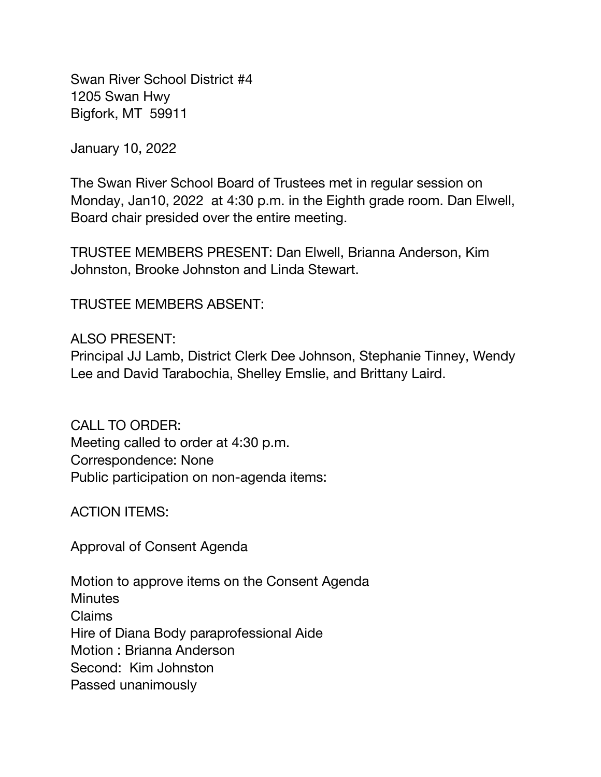Swan River School District #4 1205 Swan Hwy Bigfork, MT 59911

January 10, 2022

The Swan River School Board of Trustees met in regular session on Monday, Jan10, 2022 at 4:30 p.m. in the Eighth grade room. Dan Elwell, Board chair presided over the entire meeting.

TRUSTEE MEMBERS PRESENT: Dan Elwell, Brianna Anderson, Kim Johnston, Brooke Johnston and Linda Stewart.

TRUSTEE MEMBERS ABSENT:

## ALSO PRESENT:

Principal JJ Lamb, District Clerk Dee Johnson, Stephanie Tinney, Wendy Lee and David Tarabochia, Shelley Emslie, and Brittany Laird.

CALL TO ORDER: Meeting called to order at 4:30 p.m. Correspondence: None Public participation on non-agenda items:

ACTION ITEMS:

Approval of Consent Agenda

Motion to approve items on the Consent Agenda **Minutes** Claims Hire of Diana Body paraprofessional Aide Motion : Brianna Anderson Second: Kim Johnston Passed unanimously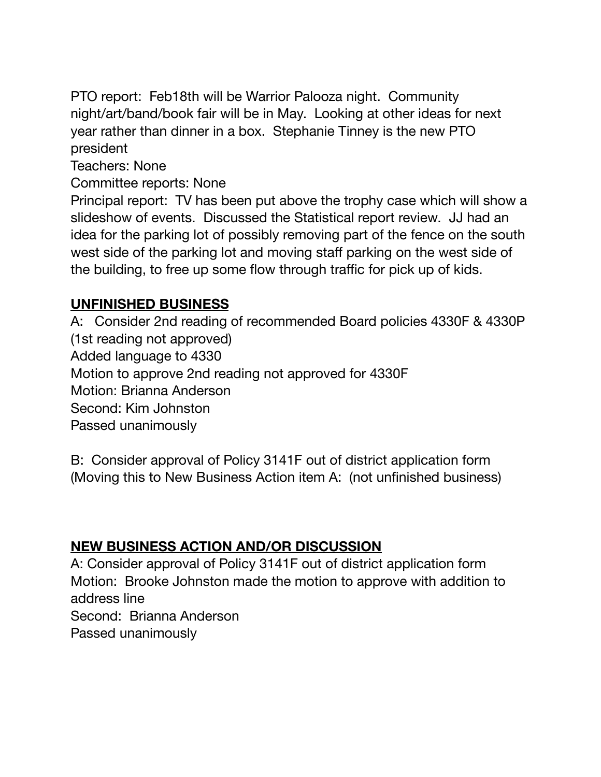PTO report: Feb18th will be Warrior Palooza night. Community night/art/band/book fair will be in May. Looking at other ideas for next year rather than dinner in a box. Stephanie Tinney is the new PTO president

Teachers: None

Committee reports: None

Principal report: TV has been put above the trophy case which will show a slideshow of events. Discussed the Statistical report review. JJ had an idea for the parking lot of possibly removing part of the fence on the south west side of the parking lot and moving staff parking on the west side of the building, to free up some flow through traffic for pick up of kids.

## **UNFINISHED BUSINESS**

A: Consider 2nd reading of recommended Board policies 4330F & 4330P (1st reading not approved) Added language to 4330 Motion to approve 2nd reading not approved for 4330F Motion: Brianna Anderson Second: Kim Johnston Passed unanimously

B: Consider approval of Policy 3141F out of district application form (Moving this to New Business Action item A: (not unfinished business)

## **NEW BUSINESS ACTION AND/OR DISCUSSION**

A: Consider approval of Policy 3141F out of district application form Motion: Brooke Johnston made the motion to approve with addition to address line Second: Brianna Anderson Passed unanimously